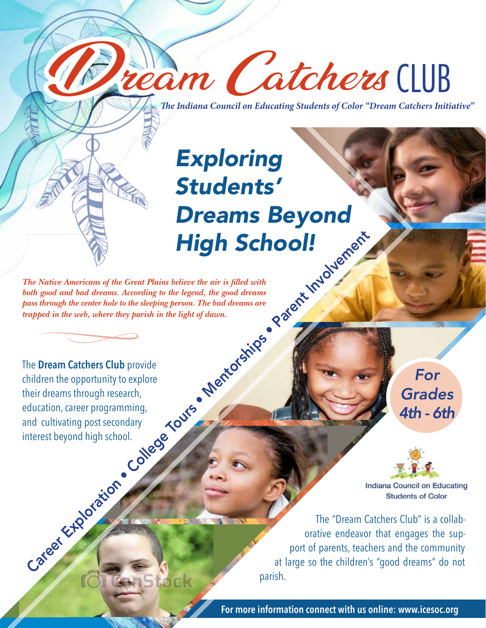**T***e Indiana Council on Educating Students of Color "Dream Catchers Initiative"*

Dream Catchers CLUB

# Exploring Students' Dreams Beyond High School!

*The Native Americans of the Great Plains believe the air is filled with both good and bad dreams. According to the legend, the good dreams pass through the center hole to the sleeping person. The bad dreams are trapped in the web, where they parish in the light of dawn.*

The **Dream Catchers Club** provide children the opportunity to explore their dreams through research, education, career programming, and cultivating post secondary interest beyond high school. Care Care and the Great Plains believe the circle is filled with<br>the Native Americans of the Great Plains believe the air is filled with<br>the good and bad dreams. According to the legend, the good dreams<br>the property in the

For Grades 4th - 6th



**Students of Color** 

The "Dream Catchers Club" is a collaborative endeavor that engages the support of parents, teachers and the community at large so the children's "good dreams" do not parish.

**For more information connect with us online: www.icesoc.org**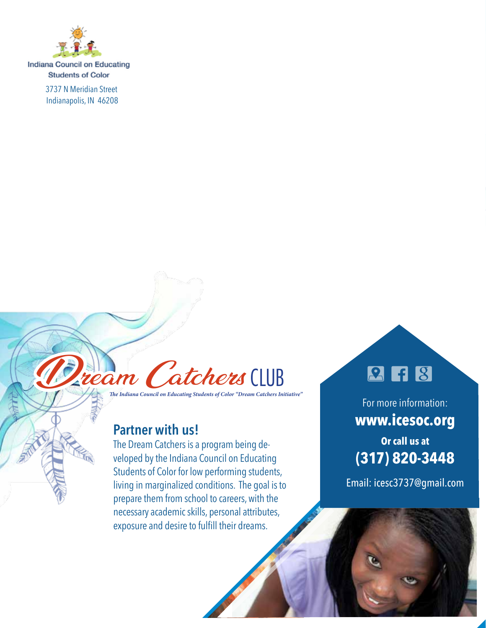

**Indiana Council on Educating Students of Color** 

> 3737 N Meridian Street Indianapolis, IN 46208



**T***e Indiana Council on Educating Students of Color "Dream Catchers Initiative"*

## **Partner with us!**

The Dream Catchers is a program being developed by the Indiana Council on Educating Students of Color for low performing students, living in marginalized conditions. The goal is to prepare them from school to careers, with the necessary academic skills, personal attributes, exposure and desire to fulfill their dreams.

## **2668**

For more information: **www.icesoc.org Or call us at (317) 820-3448**

Email: icesc3737@gmail.com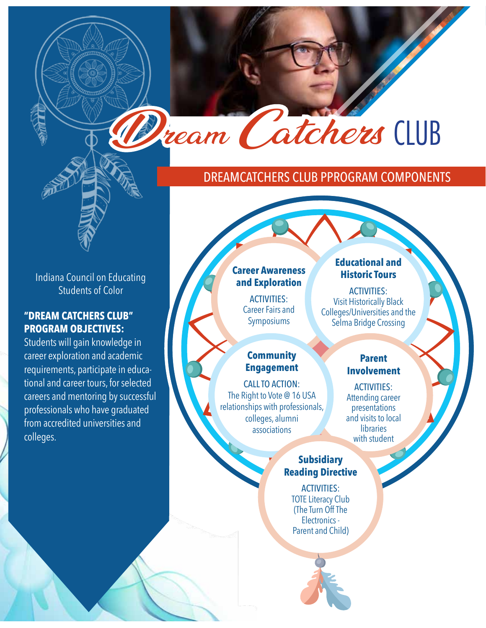## DrEAmcAtchErs club PProgrAm comPonEnts

Dream Catchers CLUB

Indiana Council on Educating Students of Color

### **"Dream CatChers CLUB" PrOgram OBjeCtives:**

Students will gain knowledge in career exploration and academic requirements, participate in educational and career tours, for selected careers and mentoring by successful professionals who have graduated from accredited universities and colleges.

#### **Career awareness and exploration**

**ACTIVITIES:** Career Fairs and Symposiums

## **Community engagement**

cAll to Action: The Right to Vote @ 16 USA relationships with professionals, colleges, alumni associations

## **educational and Historic Tours**

ACTIVITIES: Visit Historically Black Colleges/Universities and the Selma Bridge Crossing

#### **Parent involvement**

**ACTIVITIES:** Attending career presentations and visits to local libraries with student

#### **subsidiary Reading Directive**

**ACTIVITIES:** TOTE Literacy Club (The Turn Off The Electronics - Parent and Child)